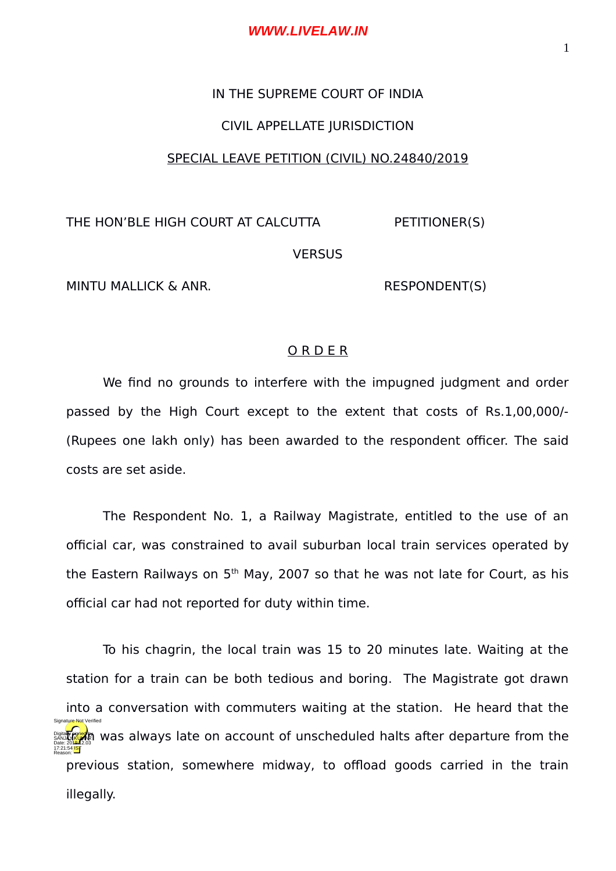# IN THE SUPREME COURT OF INDIA

## CIVIL APPELLATE JURISDICTION

#### SPECIAL LEAVE PETITION (CIVIL) NO.24840/2019

THE HON'BLE HIGH COURT AT CALCUTTA PETITIONER(S)

**VERSUS** 

MINTU MALLICK & ANR. RESPONDENT(S)

### O R D E R

We find no grounds to interfere with the impugned judgment and order passed by the High Court except to the extent that costs of Rs.1,00,000/- (Rupees one lakh only) has been awarded to the respondent officer. The said costs are set aside.

The Respondent No. 1, a Railway Magistrate, entitled to the use of an official car, was constrained to avail suburban local train services operated by the Eastern Railways on  $5<sup>th</sup>$  May, 2007 so that he was not late for Court, as his official car had not reported for duty within time.

To his chagrin, the local train was 15 to 20 minutes late. Waiting at the station for a train can be both tedious and boring. The Magistrate got drawn into a conversation with commuters waiting at the station. He heard that the Digital **Regar** was always late on account of unscheduled halts after departure from the previous station, somewhere midway, to offload goods carried in the train illegally. 17:21:54 IST Reason: Signature Not Verified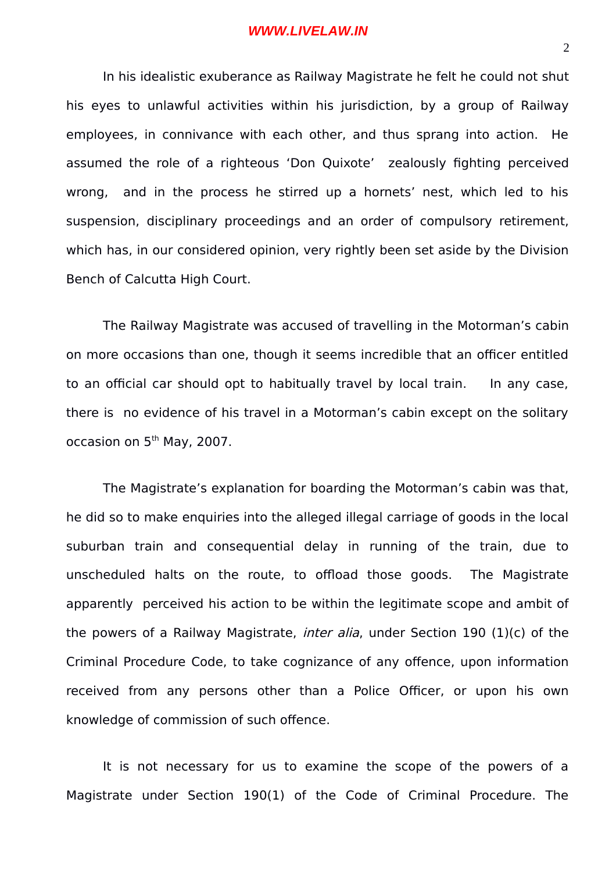In his idealistic exuberance as Railway Magistrate he felt he could not shut his eyes to unlawful activities within his jurisdiction, by a group of Railway employees, in connivance with each other, and thus sprang into action. He assumed the role of a righteous 'Don Quixote' zealously fighting perceived wrong, and in the process he stirred up a hornets' nest, which led to his suspension, disciplinary proceedings and an order of compulsory retirement, which has, in our considered opinion, very rightly been set aside by the Division Bench of Calcutta High Court.

The Railway Magistrate was accused of travelling in the Motorman's cabin on more occasions than one, though it seems incredible that an officer entitled to an official car should opt to habitually travel by local train. In any case, there is no evidence of his travel in a Motorman's cabin except on the solitary occasion on 5<sup>th</sup> May, 2007.

The Magistrate's explanation for boarding the Motorman's cabin was that, he did so to make enquiries into the alleged illegal carriage of goods in the local suburban train and consequential delay in running of the train, due to unscheduled halts on the route, to offload those goods. The Magistrate apparently perceived his action to be within the legitimate scope and ambit of the powers of a Railway Magistrate, *inter alia*, under Section 190  $(1)(c)$  of the Criminal Procedure Code, to take cognizance of any offence, upon information received from any persons other than a Police Officer, or upon his own knowledge of commission of such offence.

It is not necessary for us to examine the scope of the powers of a Magistrate under Section 190(1) of the Code of Criminal Procedure. The

2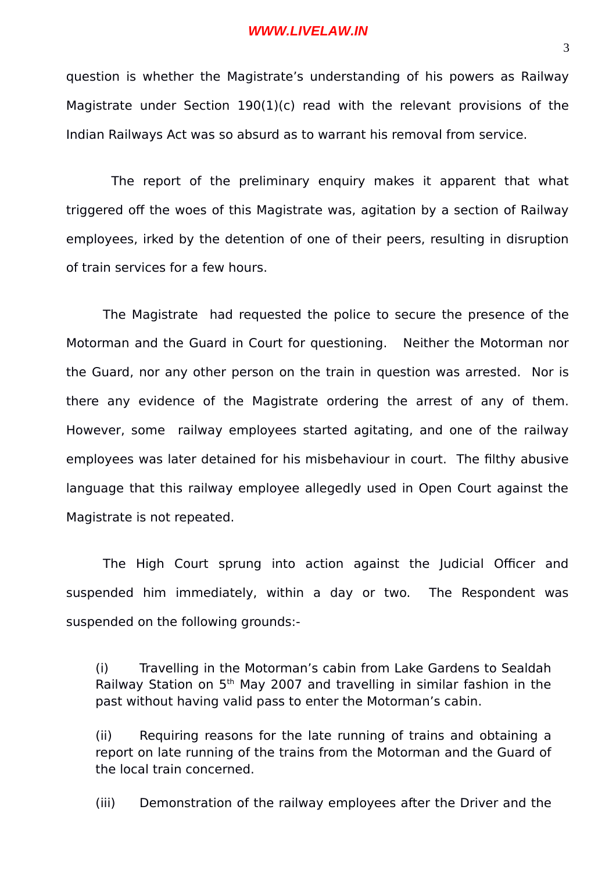question is whether the Magistrate's understanding of his powers as Railway Magistrate under Section 190(1)(c) read with the relevant provisions of the Indian Railways Act was so absurd as to warrant his removal from service.

 The report of the preliminary enquiry makes it apparent that what triggered off the woes of this Magistrate was, agitation by a section of Railway employees, irked by the detention of one of their peers, resulting in disruption of train services for a few hours.

The Magistrate had requested the police to secure the presence of the Motorman and the Guard in Court for questioning. Neither the Motorman nor the Guard, nor any other person on the train in question was arrested. Nor is there any evidence of the Magistrate ordering the arrest of any of them. However, some railway employees started agitating, and one of the railway employees was later detained for his misbehaviour in court. The filthy abusive language that this railway employee allegedly used in Open Court against the Magistrate is not repeated.

The High Court sprung into action against the Judicial Officer and suspended him immediately, within a day or two. The Respondent was suspended on the following grounds:-

(i) Travelling in the Motorman's cabin from Lake Gardens to Sealdah Railway Station on  $5<sup>th</sup>$  May 2007 and travelling in similar fashion in the past without having valid pass to enter the Motorman's cabin.

(ii) Requiring reasons for the late running of trains and obtaining a report on late running of the trains from the Motorman and the Guard of the local train concerned.

(iii) Demonstration of the railway employees after the Driver and the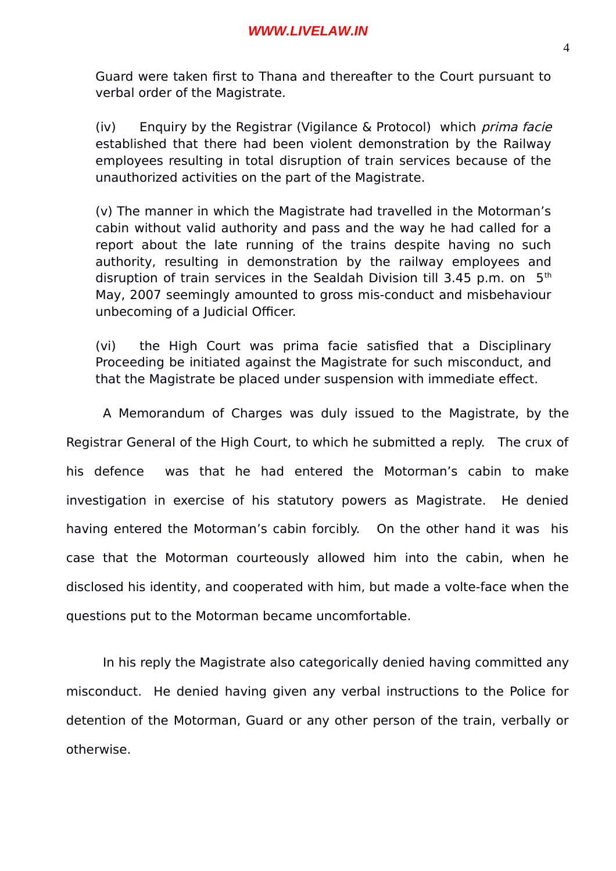Guard were taken first to Thana and thereafter to the Court pursuant to verbal order of the Magistrate.

(iv) Enquiry by the Registrar (Vigilance & Protocol) which prima facie established that there had been violent demonstration by the Railway employees resulting in total disruption of train services because of the unauthorized activities on the part of the Magistrate.

(v) The manner in which the Magistrate had travelled in the Motorman's cabin without valid authority and pass and the way he had called for a report about the late running of the trains despite having no such authority, resulting in demonstration by the railway employees and disruption of train services in the Sealdah Division till 3.45 p.m. on  $5<sup>th</sup>$ May, 2007 seemingly amounted to gross mis-conduct and misbehaviour unbecoming of a Judicial Officer.

(vi) the High Court was prima facie satisfied that a Disciplinary Proceeding be initiated against the Magistrate for such misconduct, and that the Magistrate be placed under suspension with immediate effect.

A Memorandum of Charges was duly issued to the Magistrate, by the Registrar General of the High Court, to which he submitted a reply. The crux of his defence was that he had entered the Motorman's cabin to make investigation in exercise of his statutory powers as Magistrate. He denied having entered the Motorman's cabin forcibly. On the other hand it was his case that the Motorman courteously allowed him into the cabin, when he disclosed his identity, and cooperated with him, but made a volte-face when the questions put to the Motorman became uncomfortable.

In his reply the Magistrate also categorically denied having committed any misconduct. He denied having given any verbal instructions to the Police for detention of the Motorman, Guard or any other person of the train, verbally or otherwise.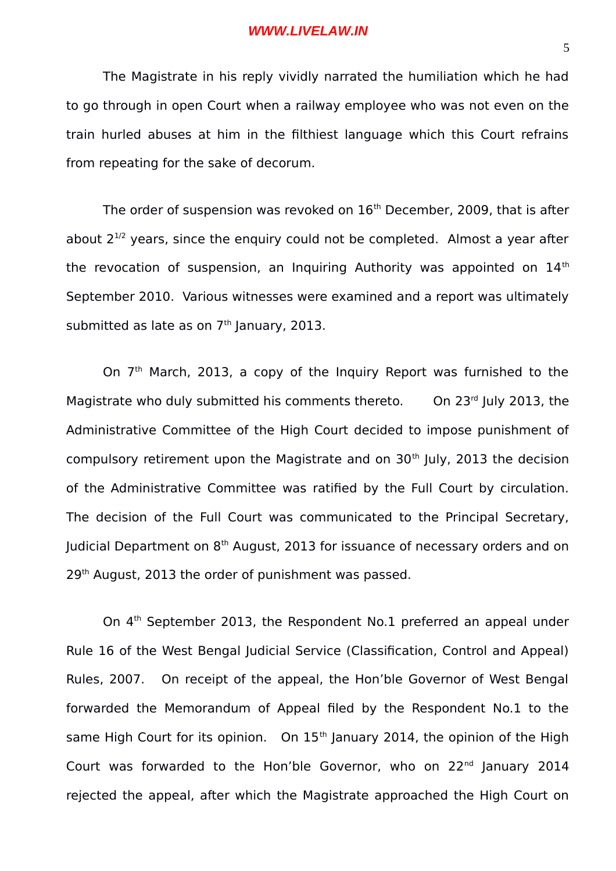The Magistrate in his reply vividly narrated the humiliation which he had to go through in open Court when a railway employee who was not even on the train hurled abuses at him in the filthiest language which this Court refrains from repeating for the sake of decorum.

The order of suspension was revoked on  $16<sup>th</sup>$  December, 2009, that is after about  $2^{1/2}$  years, since the enquiry could not be completed. Almost a year after the revocation of suspension, an Inquiring Authority was appointed on  $14<sup>th</sup>$ September 2010. Various witnesses were examined and a report was ultimately submitted as late as on  $7<sup>th</sup>$  January, 2013.

On 7<sup>th</sup> March, 2013, a copy of the Inquiry Report was furnished to the Magistrate who duly submitted his comments thereto. On  $23^{rd}$  July 2013, the Administrative Committee of the High Court decided to impose punishment of compulsory retirement upon the Magistrate and on  $30<sup>th</sup>$  July, 2013 the decision of the Administrative Committee was ratified by the Full Court by circulation. The decision of the Full Court was communicated to the Principal Secretary, Judicial Department on 8<sup>th</sup> August, 2013 for issuance of necessary orders and on 29<sup>th</sup> August, 2013 the order of punishment was passed.

On 4<sup>th</sup> September 2013, the Respondent No.1 preferred an appeal under Rule 16 of the West Bengal Judicial Service (Classification, Control and Appeal) Rules, 2007. On receipt of the appeal, the Hon'ble Governor of West Bengal forwarded the Memorandum of Appeal filed by the Respondent No.1 to the same High Court for its opinion. On  $15<sup>th</sup>$  January 2014, the opinion of the High Court was forwarded to the Hon'ble Governor, who on 22<sup>nd</sup> January 2014 rejected the appeal, after which the Magistrate approached the High Court on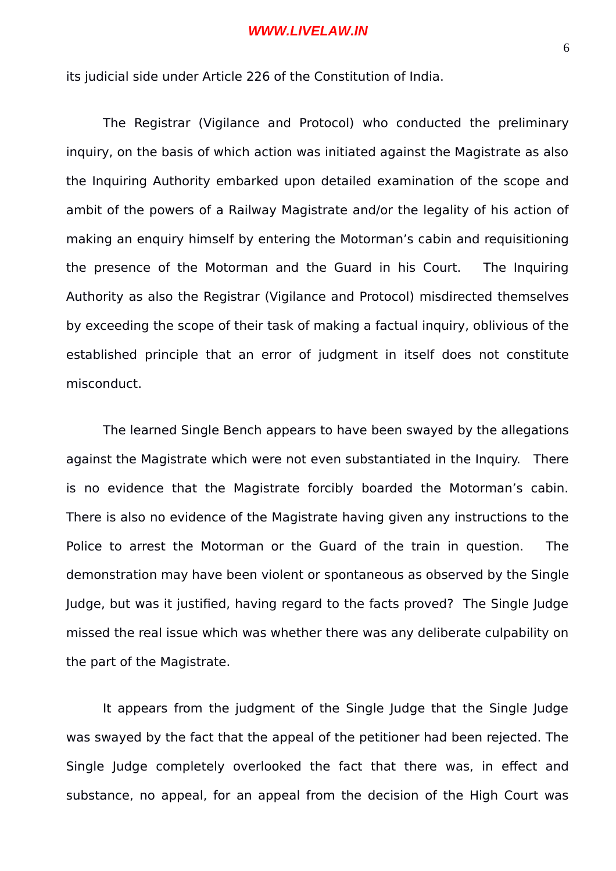its judicial side under Article 226 of the Constitution of India.

The Registrar (Vigilance and Protocol) who conducted the preliminary inquiry, on the basis of which action was initiated against the Magistrate as also the Inquiring Authority embarked upon detailed examination of the scope and ambit of the powers of a Railway Magistrate and/or the legality of his action of making an enquiry himself by entering the Motorman's cabin and requisitioning the presence of the Motorman and the Guard in his Court. The Inquiring Authority as also the Registrar (Vigilance and Protocol) misdirected themselves by exceeding the scope of their task of making a factual inquiry, oblivious of the established principle that an error of judgment in itself does not constitute misconduct.

The learned Single Bench appears to have been swayed by the allegations against the Magistrate which were not even substantiated in the Inquiry. There is no evidence that the Magistrate forcibly boarded the Motorman's cabin. There is also no evidence of the Magistrate having given any instructions to the Police to arrest the Motorman or the Guard of the train in question. The demonstration may have been violent or spontaneous as observed by the Single Judge, but was it justified, having regard to the facts proved? The Single Judge missed the real issue which was whether there was any deliberate culpability on the part of the Magistrate.

It appears from the judgment of the Single Judge that the Single Judge was swayed by the fact that the appeal of the petitioner had been rejected. The Single Judge completely overlooked the fact that there was, in effect and substance, no appeal, for an appeal from the decision of the High Court was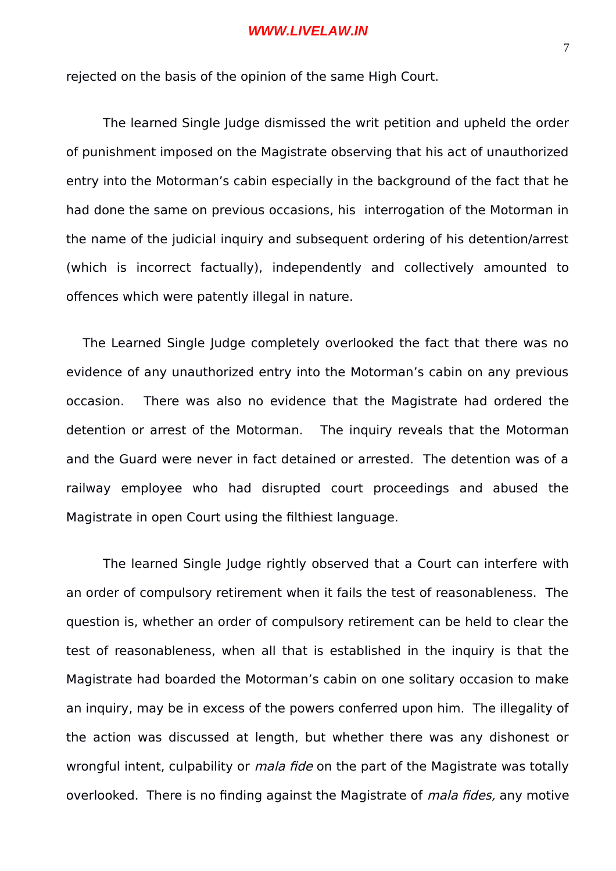rejected on the basis of the opinion of the same High Court.

The learned Single Judge dismissed the writ petition and upheld the order of punishment imposed on the Magistrate observing that his act of unauthorized entry into the Motorman's cabin especially in the background of the fact that he had done the same on previous occasions, his interrogation of the Motorman in the name of the judicial inquiry and subsequent ordering of his detention/arrest (which is incorrect factually), independently and collectively amounted to offences which were patently illegal in nature.

 The Learned Single Judge completely overlooked the fact that there was no evidence of any unauthorized entry into the Motorman's cabin on any previous occasion. There was also no evidence that the Magistrate had ordered the detention or arrest of the Motorman. The inquiry reveals that the Motorman and the Guard were never in fact detained or arrested. The detention was of a railway employee who had disrupted court proceedings and abused the Magistrate in open Court using the filthiest language.

The learned Single Judge rightly observed that a Court can interfere with an order of compulsory retirement when it fails the test of reasonableness. The question is, whether an order of compulsory retirement can be held to clear the test of reasonableness, when all that is established in the inquiry is that the Magistrate had boarded the Motorman's cabin on one solitary occasion to make an inquiry, may be in excess of the powers conferred upon him. The illegality of the action was discussed at length, but whether there was any dishonest or wrongful intent, culpability or *mala fide* on the part of the Magistrate was totally overlooked. There is no finding against the Magistrate of *mala fides*, any motive

7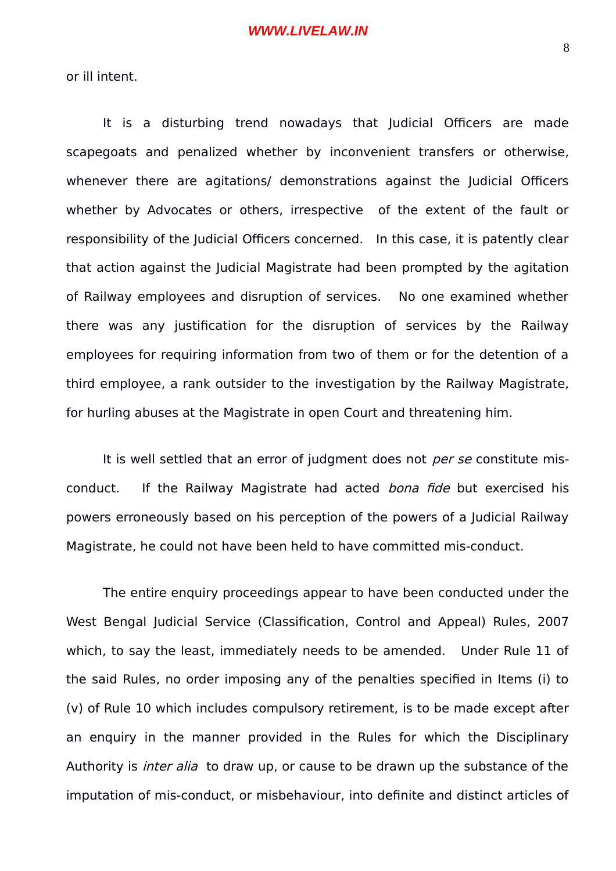or ill intent.

It is a disturbing trend nowadays that Judicial Officers are made scapegoats and penalized whether by inconvenient transfers or otherwise, whenever there are agitations/ demonstrations against the Judicial Officers whether by Advocates or others, irrespective of the extent of the fault or responsibility of the Judicial Officers concerned. In this case, it is patently clear that action against the Judicial Magistrate had been prompted by the agitation of Railway employees and disruption of services. No one examined whether there was any justification for the disruption of services by the Railway employees for requiring information from two of them or for the detention of a third employee, a rank outsider to the investigation by the Railway Magistrate, for hurling abuses at the Magistrate in open Court and threatening him.

It is well settled that an error of judgment does not *per se* constitute misconduct. If the Railway Magistrate had acted bona fide but exercised his powers erroneously based on his perception of the powers of a Judicial Railway Magistrate, he could not have been held to have committed mis-conduct.

The entire enquiry proceedings appear to have been conducted under the West Bengal Judicial Service (Classification, Control and Appeal) Rules, 2007 which, to say the least, immediately needs to be amended. Under Rule 11 of the said Rules, no order imposing any of the penalties specified in Items (i) to (v) of Rule 10 which includes compulsory retirement, is to be made except after an enquiry in the manner provided in the Rules for which the Disciplinary Authority is *inter alia* to draw up, or cause to be drawn up the substance of the imputation of mis-conduct, or misbehaviour, into definite and distinct articles of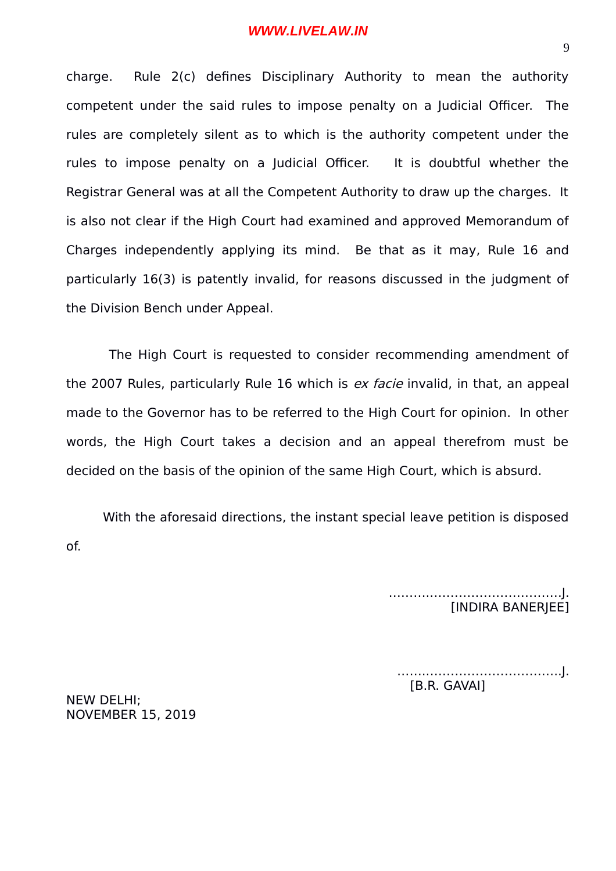charge. Rule 2(c) defines Disciplinary Authority to mean the authority competent under the said rules to impose penalty on a Judicial Officer. The rules are completely silent as to which is the authority competent under the rules to impose penalty on a Judicial Officer. It is doubtful whether the Registrar General was at all the Competent Authority to draw up the charges. It is also not clear if the High Court had examined and approved Memorandum of Charges independently applying its mind. Be that as it may, Rule 16 and particularly 16(3) is patently invalid, for reasons discussed in the judgment of the Division Bench under Appeal.

 The High Court is requested to consider recommending amendment of the 2007 Rules, particularly Rule 16 which is ex facie invalid, in that, an appeal made to the Governor has to be referred to the High Court for opinion. In other words, the High Court takes a decision and an appeal therefrom must be decided on the basis of the opinion of the same High Court, which is absurd.

With the aforesaid directions, the instant special leave petition is disposed of.

> ………..………………………….J. [INDIRA BANERJEE]

……..…………………………..J. [B.R. GAVAI]

NEW DELHI; NOVEMBER 15, 2019